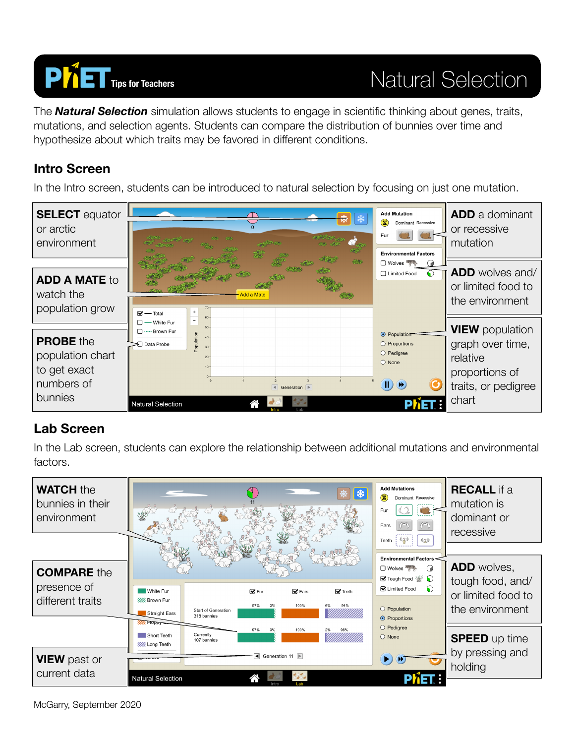

The *Natural Selection* simulation allows students to engage in scientific thinking about genes, traits, mutations, and selection agents. Students can compare the distribution of bunnies over time and hypothesize about which traits may be favored in different conditions.

### **Intro Screen**

In the Intro screen, students can be introduced to natural selection by focusing on just one mutation.



### **Lab Screen**

In the Lab screen, students can explore the relationship between additional mutations and environmental factors.



McGarry, September 2020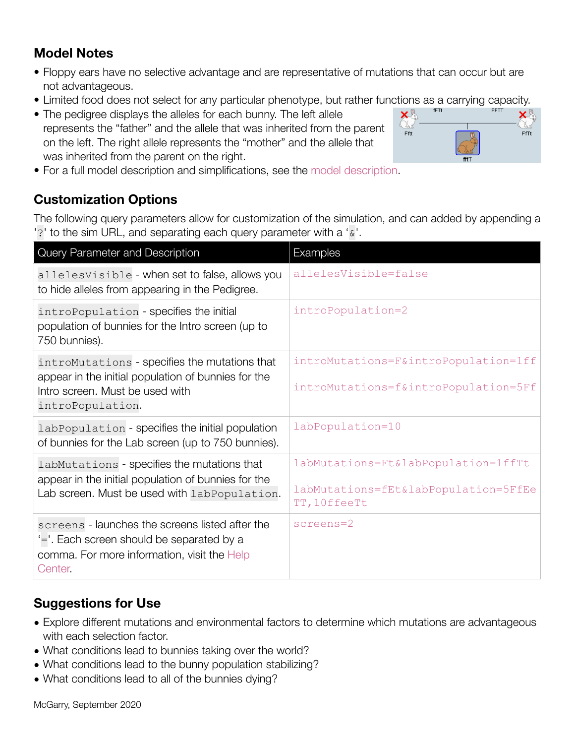## **Model Notes**

- Floppy ears have no selective advantage and are representative of mutations that can occur but are not advantageous.
- Limited food does not select for any particular phenotype, but rather functions as a carrying capacity.
- The pedigree displays the alleles for each bunny. The left allele represents the "father" and the allele that was inherited from the parent on the left. The right allele represents the "mother" and the allele that was inherited from the parent on the right.



• For a full model description and simplifications, see the [model description](https://github.com/phetsims/natural-selection/blob/master/doc/model.md).

## **Customization Options**

The following query parameters allow for customization of the simulation, and can added by appending a '?' to the sim URL, and separating each query parameter with a '&'.

| Query Parameter and Description                                                                                                                             | Examples                                                                                    |
|-------------------------------------------------------------------------------------------------------------------------------------------------------------|---------------------------------------------------------------------------------------------|
| allelesVisible - when set to false, allows you<br>to hide alleles from appearing in the Pedigree.                                                           | allelesVisible=false                                                                        |
| introPopulation - specifies the initial<br>population of bunnies for the Intro screen (up to<br>750 bunnies).                                               | introPopulation=2                                                                           |
| introMutations - specifies the mutations that<br>appear in the initial population of bunnies for the<br>Intro screen. Must be used with<br>introPopulation. | introMutations=F&introPopulation=1ff<br>introMutations=f&introPopulation=5Ff                |
| labPopulation - specifies the initial population<br>of bunnies for the Lab screen (up to 750 bunnies).                                                      | labPopulation=10                                                                            |
| labMutations - specifies the mutations that<br>appear in the initial population of bunnies for the<br>Lab screen. Must be used with labPopulation.          | labMutations=Ft&labPopulation=1ffTt<br>labMutations=fEt&labPopulation=5FfEe<br>TT, 10ffeeTt |
| screens - launches the screens listed after the<br>'='. Each screen should be separated by a<br>comma. For more information, visit the Help<br>Center.      | screens=2                                                                                   |

# **Suggestions for Use**

- Explore different mutations and environmental factors to determine which mutations are advantageous with each selection factor.
- What conditions lead to bunnies taking over the world?
- What conditions lead to the bunny population stabilizing?
- What conditions lead to all of the bunnies dying?